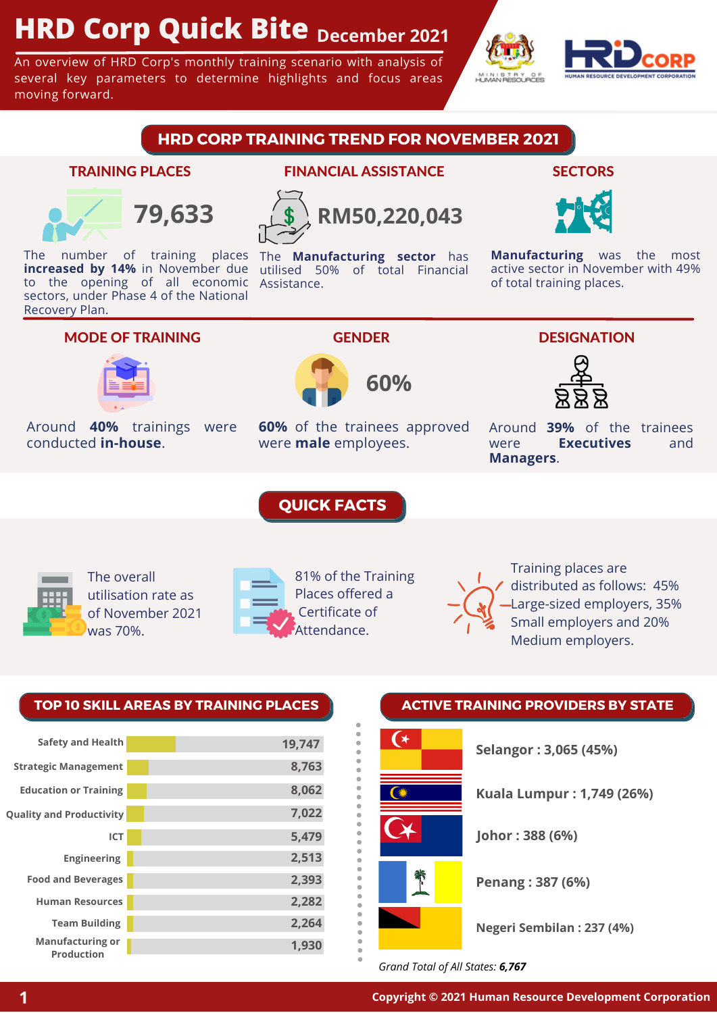# **HRD Corp Quick Bite December 2021**

An overview of HRD Corp's monthly training scenario with analysis of several key parameters to determine highlights and focus areas moving forward.



## **HRD CORP TRAINING TREND FOR NOVEMBER 2021**

#### TRAINING PLACES



The number of training places The **Manufacturing sector** has **increased by 14%** in November due utilised 50% of total Financial to the opening of all economic Assistance. sectors, under Phase 4 of the National Recovery Plan.

### FINANCIAL ASSISTANCE



#### **SECTORS**



**Manufacturing** was the most active sector in November with 49% of total training places.

#### MODE OF TRAINING



Around **40%** trainings were conducted **in-house**.



**60%** of the trainees approved were **male** employees.

#### **DESIGNATION**



Around **39%** of the trainees were **Executives** and **Managers**.



The overall utilisation rate as of November 2021 was 70%.



81% of the Training Places offered a Certificate of Attendance.

 $\mathfrak{g}$ 

**QUICK FACTS**



Training places are distributed as follows: 45% Large-sized employers, 35% Small employers and 20% Medium employers.

#### **TOP 10 SKILL AREAS BY TRAINING PLACES ACTIVE TRAINING PROVIDERS BY STATE**

| <b>Safety and Health</b>              | 19,747 |
|---------------------------------------|--------|
| <b>Strategic Management</b>           | 8,763  |
| <b>Education or Training</b>          | 8,062  |
| <b>Quality and Productivity</b>       | 7,022  |
| <b>ICT</b>                            | 5,479  |
| <b>Engineering</b>                    | 2,513  |
| <b>Food and Beverages</b>             | 2,393  |
| <b>Human Resources</b>                | 2,282  |
| <b>Team Building</b>                  | 2,264  |
| <b>Manufacturing or</b><br>Production | 1,930  |



*Grand Total of All States: 6,767*